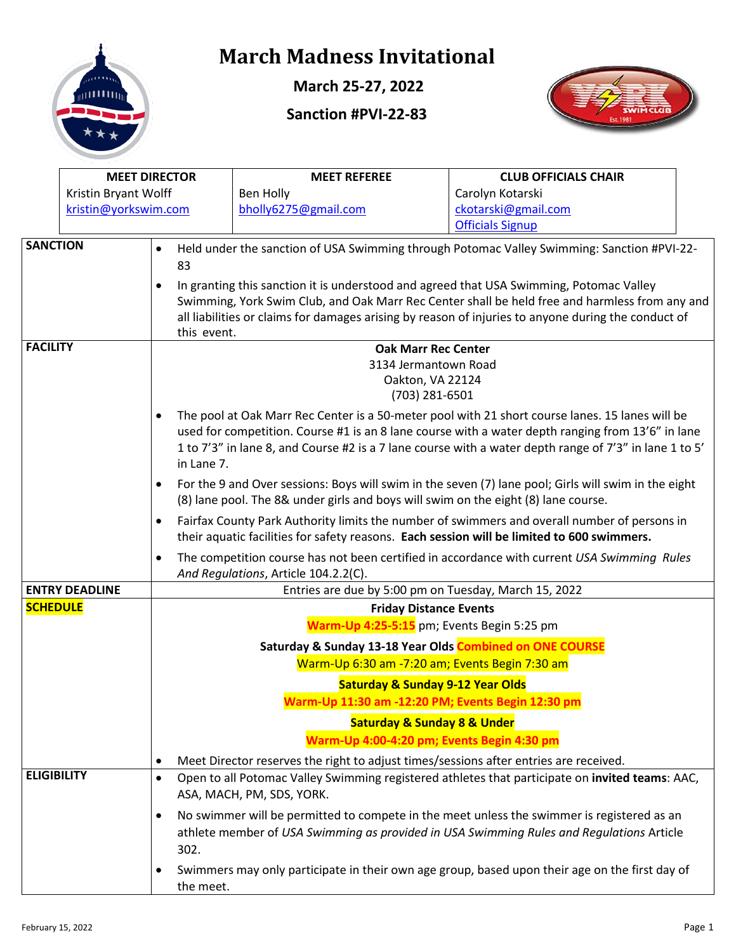

**March 25-27, 2022**

#### **Sanction #PVI-22-83**



|                                                                                                                                                                                                                                                                                                                              | <b>MEET DIRECTOR</b>  |                                            |                                                                                                                                     | <b>MEET REFEREE</b><br><b>CLUB OFFICIALS CHAIR</b>                                             |                                                                                                                                                                                                             |  |  |  |  |
|------------------------------------------------------------------------------------------------------------------------------------------------------------------------------------------------------------------------------------------------------------------------------------------------------------------------------|-----------------------|--------------------------------------------|-------------------------------------------------------------------------------------------------------------------------------------|------------------------------------------------------------------------------------------------|-------------------------------------------------------------------------------------------------------------------------------------------------------------------------------------------------------------|--|--|--|--|
|                                                                                                                                                                                                                                                                                                                              | Kristin Bryant Wolff  |                                            |                                                                                                                                     | Ben Holly                                                                                      | Carolyn Kotarski                                                                                                                                                                                            |  |  |  |  |
|                                                                                                                                                                                                                                                                                                                              | kristin@yorkswim.com  |                                            |                                                                                                                                     | bholly6275@gmail.com                                                                           | ckotarski@gmail.com                                                                                                                                                                                         |  |  |  |  |
|                                                                                                                                                                                                                                                                                                                              |                       |                                            |                                                                                                                                     |                                                                                                | <b>Officials Signup</b>                                                                                                                                                                                     |  |  |  |  |
| <b>SANCTION</b>                                                                                                                                                                                                                                                                                                              |                       | $\bullet$                                  | 83                                                                                                                                  | Held under the sanction of USA Swimming through Potomac Valley Swimming: Sanction #PVI-22-     |                                                                                                                                                                                                             |  |  |  |  |
| In granting this sanction it is understood and agreed that USA Swimming, Potomac Valley<br>$\bullet$<br>Swimming, York Swim Club, and Oak Marr Rec Center shall be held free and harmless from any and<br>all liabilities or claims for damages arising by reason of injuries to anyone during the conduct of<br>this event. |                       |                                            |                                                                                                                                     |                                                                                                |                                                                                                                                                                                                             |  |  |  |  |
| <b>FACILITY</b>                                                                                                                                                                                                                                                                                                              |                       |                                            |                                                                                                                                     | <b>Oak Marr Rec Center</b>                                                                     |                                                                                                                                                                                                             |  |  |  |  |
|                                                                                                                                                                                                                                                                                                                              |                       |                                            |                                                                                                                                     | 3134 Jermantown Road                                                                           |                                                                                                                                                                                                             |  |  |  |  |
|                                                                                                                                                                                                                                                                                                                              |                       |                                            |                                                                                                                                     | Oakton, VA 22124                                                                               |                                                                                                                                                                                                             |  |  |  |  |
|                                                                                                                                                                                                                                                                                                                              |                       |                                            |                                                                                                                                     | (703) 281-6501                                                                                 |                                                                                                                                                                                                             |  |  |  |  |
|                                                                                                                                                                                                                                                                                                                              |                       | $\bullet$                                  |                                                                                                                                     |                                                                                                | The pool at Oak Marr Rec Center is a 50-meter pool with 21 short course lanes. 15 lanes will be                                                                                                             |  |  |  |  |
|                                                                                                                                                                                                                                                                                                                              |                       |                                            | in Lane 7.                                                                                                                          |                                                                                                | used for competition. Course #1 is an 8 lane course with a water depth ranging from 13'6" in lane<br>1 to 7'3" in lane 8, and Course #2 is a 7 lane course with a water depth range of 7'3" in lane 1 to 5' |  |  |  |  |
| For the 9 and Over sessions: Boys will swim in the seven (7) lane pool; Girls will swim in the eight<br>$\bullet$<br>(8) lane pool. The 8& under girls and boys will swim on the eight (8) lane course.                                                                                                                      |                       |                                            |                                                                                                                                     |                                                                                                |                                                                                                                                                                                                             |  |  |  |  |
| Fairfax County Park Authority limits the number of swimmers and overall number of persons in<br>$\bullet$<br>their aquatic facilities for safety reasons. Each session will be limited to 600 swimmers.                                                                                                                      |                       |                                            |                                                                                                                                     |                                                                                                |                                                                                                                                                                                                             |  |  |  |  |
|                                                                                                                                                                                                                                                                                                                              |                       | $\bullet$                                  | The competition course has not been certified in accordance with current USA Swimming Rules<br>And Regulations, Article 104.2.2(C). |                                                                                                |                                                                                                                                                                                                             |  |  |  |  |
|                                                                                                                                                                                                                                                                                                                              | <b>ENTRY DEADLINE</b> |                                            |                                                                                                                                     | Entries are due by 5:00 pm on Tuesday, March 15, 2022                                          |                                                                                                                                                                                                             |  |  |  |  |
| <b>SCHEDULE</b>                                                                                                                                                                                                                                                                                                              |                       |                                            |                                                                                                                                     | <b>Friday Distance Events</b>                                                                  |                                                                                                                                                                                                             |  |  |  |  |
|                                                                                                                                                                                                                                                                                                                              |                       | Warm-Up 4:25-5:15 pm; Events Begin 5:25 pm |                                                                                                                                     |                                                                                                |                                                                                                                                                                                                             |  |  |  |  |
|                                                                                                                                                                                                                                                                                                                              |                       |                                            | Saturday & Sunday 13-18 Year Olds Combined on ONE COURSE<br>Warm-Up 6:30 am -7:20 am; Events Begin 7:30 am                          |                                                                                                |                                                                                                                                                                                                             |  |  |  |  |
|                                                                                                                                                                                                                                                                                                                              |                       |                                            | <b>Saturday &amp; Sunday 9-12 Year Olds</b>                                                                                         |                                                                                                |                                                                                                                                                                                                             |  |  |  |  |
|                                                                                                                                                                                                                                                                                                                              |                       |                                            | Warm-Up 11:30 am -12:20 PM; Events Begin 12:30 pm                                                                                   |                                                                                                |                                                                                                                                                                                                             |  |  |  |  |
|                                                                                                                                                                                                                                                                                                                              |                       |                                            |                                                                                                                                     | <b>Saturday &amp; Sunday 8 &amp; Under</b>                                                     |                                                                                                                                                                                                             |  |  |  |  |
|                                                                                                                                                                                                                                                                                                                              |                       |                                            |                                                                                                                                     | Warm-Up 4:00-4:20 pm; Events Begin 4:30 pm                                                     |                                                                                                                                                                                                             |  |  |  |  |
|                                                                                                                                                                                                                                                                                                                              |                       | $\bullet$                                  |                                                                                                                                     | Meet Director reserves the right to adjust times/sessions after entries are received.          |                                                                                                                                                                                                             |  |  |  |  |
| <b>ELIGIBILITY</b>                                                                                                                                                                                                                                                                                                           |                       | $\bullet$                                  |                                                                                                                                     | ASA, MACH, PM, SDS, YORK.                                                                      | Open to all Potomac Valley Swimming registered athletes that participate on invited teams: AAC,                                                                                                             |  |  |  |  |
|                                                                                                                                                                                                                                                                                                                              |                       | $\bullet$                                  |                                                                                                                                     |                                                                                                | No swimmer will be permitted to compete in the meet unless the swimmer is registered as an                                                                                                                  |  |  |  |  |
|                                                                                                                                                                                                                                                                                                                              |                       |                                            | 302.                                                                                                                                |                                                                                                | athlete member of USA Swimming as provided in USA Swimming Rules and Regulations Article                                                                                                                    |  |  |  |  |
| ٠                                                                                                                                                                                                                                                                                                                            |                       |                                            | the meet.                                                                                                                           | Swimmers may only participate in their own age group, based upon their age on the first day of |                                                                                                                                                                                                             |  |  |  |  |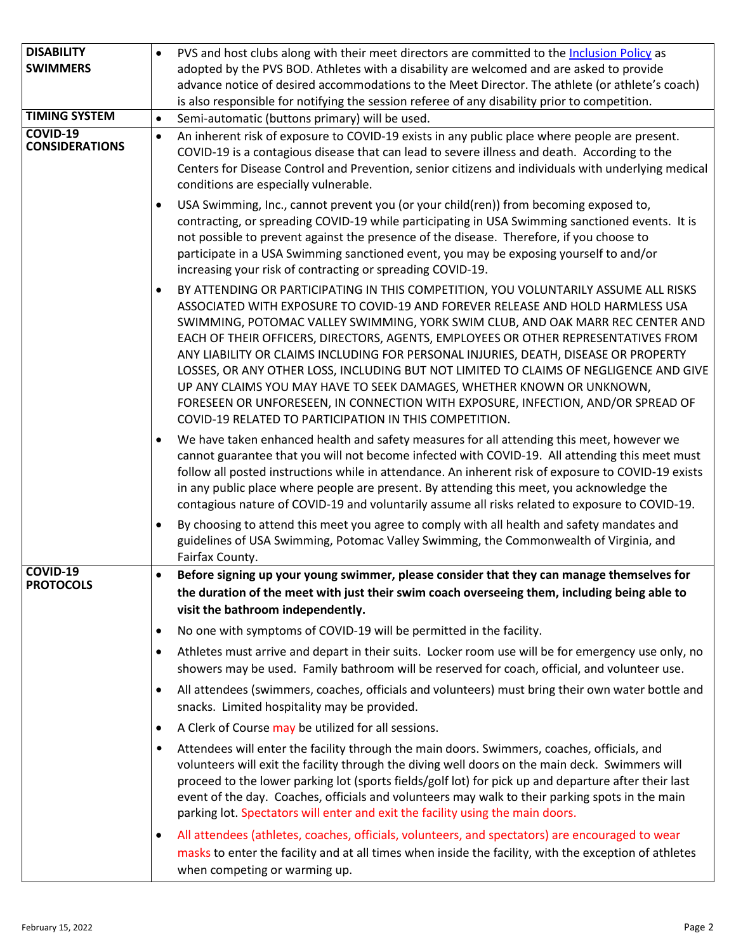| <b>DISABILITY</b>                        | $\bullet$ | PVS and host clubs along with their meet directors are committed to the Inclusion Policy as                                                                                                                                                                                                                                                                                                                                                                                                                                                                                                                                                                                                                                                          |  |  |
|------------------------------------------|-----------|------------------------------------------------------------------------------------------------------------------------------------------------------------------------------------------------------------------------------------------------------------------------------------------------------------------------------------------------------------------------------------------------------------------------------------------------------------------------------------------------------------------------------------------------------------------------------------------------------------------------------------------------------------------------------------------------------------------------------------------------------|--|--|
| <b>SWIMMERS</b>                          |           | adopted by the PVS BOD. Athletes with a disability are welcomed and are asked to provide                                                                                                                                                                                                                                                                                                                                                                                                                                                                                                                                                                                                                                                             |  |  |
|                                          |           | advance notice of desired accommodations to the Meet Director. The athlete (or athlete's coach)                                                                                                                                                                                                                                                                                                                                                                                                                                                                                                                                                                                                                                                      |  |  |
|                                          |           | is also responsible for notifying the session referee of any disability prior to competition.                                                                                                                                                                                                                                                                                                                                                                                                                                                                                                                                                                                                                                                        |  |  |
| <b>TIMING SYSTEM</b>                     | $\bullet$ | Semi-automatic (buttons primary) will be used.                                                                                                                                                                                                                                                                                                                                                                                                                                                                                                                                                                                                                                                                                                       |  |  |
| <b>COVID-19</b><br><b>CONSIDERATIONS</b> | $\bullet$ | An inherent risk of exposure to COVID-19 exists in any public place where people are present.<br>COVID-19 is a contagious disease that can lead to severe illness and death. According to the<br>Centers for Disease Control and Prevention, senior citizens and individuals with underlying medical<br>conditions are especially vulnerable.                                                                                                                                                                                                                                                                                                                                                                                                        |  |  |
|                                          | ٠         | USA Swimming, Inc., cannot prevent you (or your child(ren)) from becoming exposed to,<br>contracting, or spreading COVID-19 while participating in USA Swimming sanctioned events. It is<br>not possible to prevent against the presence of the disease. Therefore, if you choose to<br>participate in a USA Swimming sanctioned event, you may be exposing yourself to and/or<br>increasing your risk of contracting or spreading COVID-19.                                                                                                                                                                                                                                                                                                         |  |  |
|                                          | $\bullet$ | BY ATTENDING OR PARTICIPATING IN THIS COMPETITION, YOU VOLUNTARILY ASSUME ALL RISKS<br>ASSOCIATED WITH EXPOSURE TO COVID-19 AND FOREVER RELEASE AND HOLD HARMLESS USA<br>SWIMMING, POTOMAC VALLEY SWIMMING, YORK SWIM CLUB, AND OAK MARR REC CENTER AND<br>EACH OF THEIR OFFICERS, DIRECTORS, AGENTS, EMPLOYEES OR OTHER REPRESENTATIVES FROM<br>ANY LIABILITY OR CLAIMS INCLUDING FOR PERSONAL INJURIES, DEATH, DISEASE OR PROPERTY<br>LOSSES, OR ANY OTHER LOSS, INCLUDING BUT NOT LIMITED TO CLAIMS OF NEGLIGENCE AND GIVE<br>UP ANY CLAIMS YOU MAY HAVE TO SEEK DAMAGES, WHETHER KNOWN OR UNKNOWN,<br>FORESEEN OR UNFORESEEN, IN CONNECTION WITH EXPOSURE, INFECTION, AND/OR SPREAD OF<br>COVID-19 RELATED TO PARTICIPATION IN THIS COMPETITION. |  |  |
|                                          | $\bullet$ | We have taken enhanced health and safety measures for all attending this meet, however we<br>cannot guarantee that you will not become infected with COVID-19. All attending this meet must<br>follow all posted instructions while in attendance. An inherent risk of exposure to COVID-19 exists<br>in any public place where people are present. By attending this meet, you acknowledge the<br>contagious nature of COVID-19 and voluntarily assume all risks related to exposure to COVID-19.                                                                                                                                                                                                                                                   |  |  |
|                                          | $\bullet$ | By choosing to attend this meet you agree to comply with all health and safety mandates and<br>guidelines of USA Swimming, Potomac Valley Swimming, the Commonwealth of Virginia, and<br>Fairfax County.                                                                                                                                                                                                                                                                                                                                                                                                                                                                                                                                             |  |  |
| COVID-19                                 | $\bullet$ | Before signing up your young swimmer, please consider that they can manage themselves for                                                                                                                                                                                                                                                                                                                                                                                                                                                                                                                                                                                                                                                            |  |  |
| <b>PROTOCOLS</b>                         |           | the duration of the meet with just their swim coach overseeing them, including being able to                                                                                                                                                                                                                                                                                                                                                                                                                                                                                                                                                                                                                                                         |  |  |
|                                          |           | visit the bathroom independently.                                                                                                                                                                                                                                                                                                                                                                                                                                                                                                                                                                                                                                                                                                                    |  |  |
|                                          | $\bullet$ | No one with symptoms of COVID-19 will be permitted in the facility.                                                                                                                                                                                                                                                                                                                                                                                                                                                                                                                                                                                                                                                                                  |  |  |
|                                          | $\bullet$ | Athletes must arrive and depart in their suits. Locker room use will be for emergency use only, no<br>showers may be used. Family bathroom will be reserved for coach, official, and volunteer use.                                                                                                                                                                                                                                                                                                                                                                                                                                                                                                                                                  |  |  |
|                                          | $\bullet$ | All attendees (swimmers, coaches, officials and volunteers) must bring their own water bottle and<br>snacks. Limited hospitality may be provided.                                                                                                                                                                                                                                                                                                                                                                                                                                                                                                                                                                                                    |  |  |
|                                          | $\bullet$ | A Clerk of Course may be utilized for all sessions.                                                                                                                                                                                                                                                                                                                                                                                                                                                                                                                                                                                                                                                                                                  |  |  |
|                                          | ٠         | Attendees will enter the facility through the main doors. Swimmers, coaches, officials, and<br>volunteers will exit the facility through the diving well doors on the main deck. Swimmers will<br>proceed to the lower parking lot (sports fields/golf lot) for pick up and departure after their last<br>event of the day. Coaches, officials and volunteers may walk to their parking spots in the main<br>parking lot. Spectators will enter and exit the facility using the main doors.                                                                                                                                                                                                                                                          |  |  |
|                                          | ٠         | All attendees (athletes, coaches, officials, volunteers, and spectators) are encouraged to wear<br>masks to enter the facility and at all times when inside the facility, with the exception of athletes<br>when competing or warming up.                                                                                                                                                                                                                                                                                                                                                                                                                                                                                                            |  |  |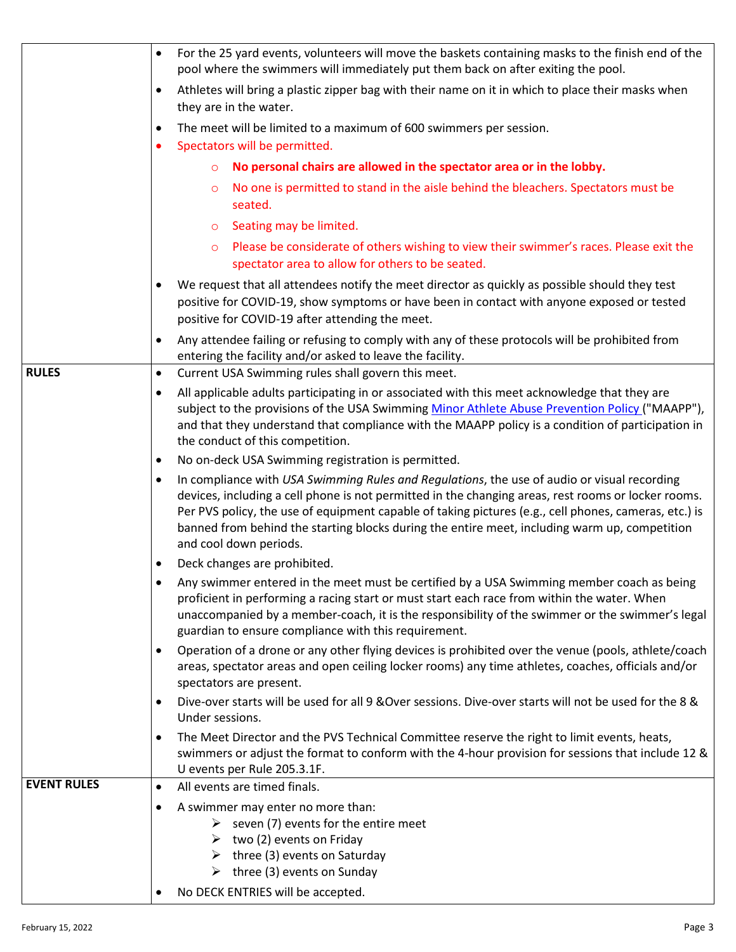|                    | For the 25 yard events, volunteers will move the baskets containing masks to the finish end of the<br>pool where the swimmers will immediately put them back on after exiting the pool.                                                                                                                                                                                                                                                             |  |  |
|--------------------|-----------------------------------------------------------------------------------------------------------------------------------------------------------------------------------------------------------------------------------------------------------------------------------------------------------------------------------------------------------------------------------------------------------------------------------------------------|--|--|
|                    | Athletes will bring a plastic zipper bag with their name on it in which to place their masks when<br>$\bullet$<br>they are in the water.                                                                                                                                                                                                                                                                                                            |  |  |
|                    | The meet will be limited to a maximum of 600 swimmers per session.<br>$\bullet$<br>Spectators will be permitted.                                                                                                                                                                                                                                                                                                                                    |  |  |
|                    | No personal chairs are allowed in the spectator area or in the lobby.<br>$\circ$                                                                                                                                                                                                                                                                                                                                                                    |  |  |
|                    | No one is permitted to stand in the aisle behind the bleachers. Spectators must be<br>$\circ$                                                                                                                                                                                                                                                                                                                                                       |  |  |
|                    | seated.                                                                                                                                                                                                                                                                                                                                                                                                                                             |  |  |
|                    | Seating may be limited.<br>$\circ$                                                                                                                                                                                                                                                                                                                                                                                                                  |  |  |
|                    | Please be considerate of others wishing to view their swimmer's races. Please exit the<br>$\circ$<br>spectator area to allow for others to be seated.                                                                                                                                                                                                                                                                                               |  |  |
|                    | We request that all attendees notify the meet director as quickly as possible should they test                                                                                                                                                                                                                                                                                                                                                      |  |  |
|                    | positive for COVID-19, show symptoms or have been in contact with anyone exposed or tested<br>positive for COVID-19 after attending the meet.                                                                                                                                                                                                                                                                                                       |  |  |
|                    | Any attendee failing or refusing to comply with any of these protocols will be prohibited from<br>entering the facility and/or asked to leave the facility.                                                                                                                                                                                                                                                                                         |  |  |
| <b>RULES</b>       | Current USA Swimming rules shall govern this meet.<br>$\bullet$                                                                                                                                                                                                                                                                                                                                                                                     |  |  |
|                    | All applicable adults participating in or associated with this meet acknowledge that they are                                                                                                                                                                                                                                                                                                                                                       |  |  |
|                    | subject to the provisions of the USA Swimming Minor Athlete Abuse Prevention Policy ("MAAPP"),<br>and that they understand that compliance with the MAAPP policy is a condition of participation in<br>the conduct of this competition.                                                                                                                                                                                                             |  |  |
|                    | No on-deck USA Swimming registration is permitted.<br>$\bullet$                                                                                                                                                                                                                                                                                                                                                                                     |  |  |
|                    | In compliance with USA Swimming Rules and Regulations, the use of audio or visual recording<br>$\bullet$<br>devices, including a cell phone is not permitted in the changing areas, rest rooms or locker rooms.<br>Per PVS policy, the use of equipment capable of taking pictures (e.g., cell phones, cameras, etc.) is<br>banned from behind the starting blocks during the entire meet, including warm up, competition<br>and cool down periods. |  |  |
|                    | Deck changes are prohibited.                                                                                                                                                                                                                                                                                                                                                                                                                        |  |  |
|                    | Any swimmer entered in the meet must be certified by a USA Swimming member coach as being<br>proficient in performing a racing start or must start each race from within the water. When<br>unaccompanied by a member-coach, it is the responsibility of the swimmer or the swimmer's legal<br>guardian to ensure compliance with this requirement.                                                                                                 |  |  |
|                    | Operation of a drone or any other flying devices is prohibited over the venue (pools, athlete/coach<br>areas, spectator areas and open ceiling locker rooms) any time athletes, coaches, officials and/or<br>spectators are present.                                                                                                                                                                                                                |  |  |
|                    | Dive-over starts will be used for all 9 & Over sessions. Dive-over starts will not be used for the 8 &<br>Under sessions.                                                                                                                                                                                                                                                                                                                           |  |  |
|                    | The Meet Director and the PVS Technical Committee reserve the right to limit events, heats,<br>swimmers or adjust the format to conform with the 4-hour provision for sessions that include 12 &                                                                                                                                                                                                                                                    |  |  |
|                    | U events per Rule 205.3.1F.                                                                                                                                                                                                                                                                                                                                                                                                                         |  |  |
| <b>EVENT RULES</b> | All events are timed finals.<br>$\bullet$                                                                                                                                                                                                                                                                                                                                                                                                           |  |  |
|                    | A swimmer may enter no more than:<br>$\bullet$                                                                                                                                                                                                                                                                                                                                                                                                      |  |  |
|                    | $\triangleright$ seven (7) events for the entire meet<br>two (2) events on Friday<br>➤                                                                                                                                                                                                                                                                                                                                                              |  |  |
|                    | three (3) events on Saturday<br>➤                                                                                                                                                                                                                                                                                                                                                                                                                   |  |  |
|                    | $\triangleright$ three (3) events on Sunday                                                                                                                                                                                                                                                                                                                                                                                                         |  |  |
|                    | No DECK ENTRIES will be accepted.                                                                                                                                                                                                                                                                                                                                                                                                                   |  |  |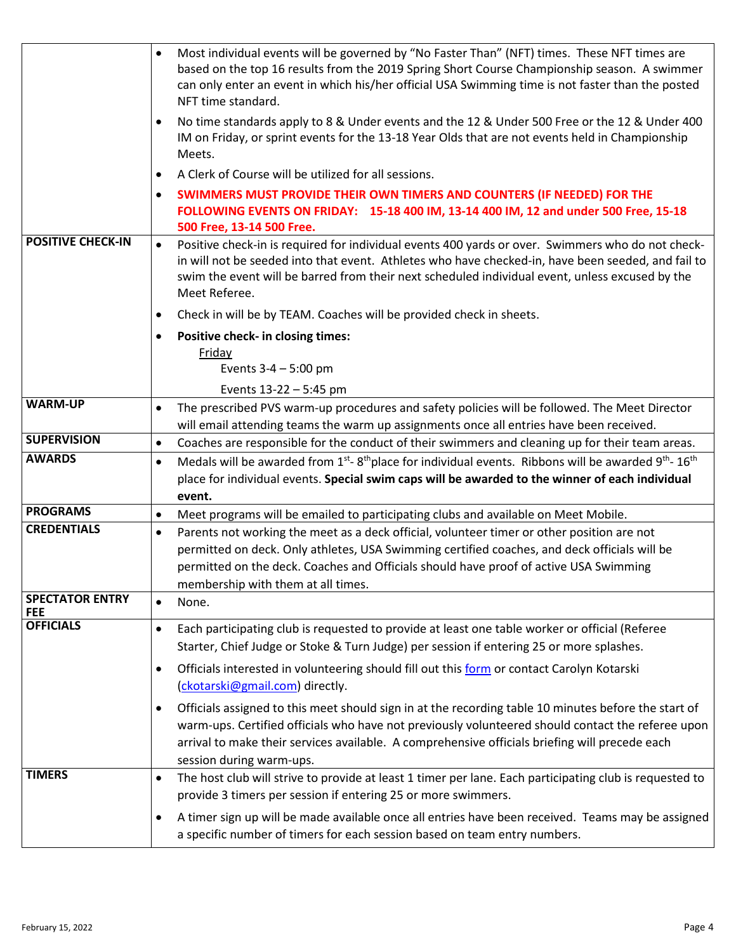|                                      | Most individual events will be governed by "No Faster Than" (NFT) times. These NFT times are<br>based on the top 16 results from the 2019 Spring Short Course Championship season. A swimmer<br>can only enter an event in which his/her official USA Swimming time is not faster than the posted<br>NFT time standard.<br>No time standards apply to 8 & Under events and the 12 & Under 500 Free or the 12 & Under 400<br>IM on Friday, or sprint events for the 13-18 Year Olds that are not events held in Championship<br>Meets. |
|--------------------------------------|---------------------------------------------------------------------------------------------------------------------------------------------------------------------------------------------------------------------------------------------------------------------------------------------------------------------------------------------------------------------------------------------------------------------------------------------------------------------------------------------------------------------------------------|
|                                      | A Clerk of Course will be utilized for all sessions.                                                                                                                                                                                                                                                                                                                                                                                                                                                                                  |
|                                      | SWIMMERS MUST PROVIDE THEIR OWN TIMERS AND COUNTERS (IF NEEDED) FOR THE<br>FOLLOWING EVENTS ON FRIDAY: 15-18 400 IM, 13-14 400 IM, 12 and under 500 Free, 15-18<br>500 Free, 13-14 500 Free.                                                                                                                                                                                                                                                                                                                                          |
| <b>POSITIVE CHECK-IN</b>             | Positive check-in is required for individual events 400 yards or over. Swimmers who do not check-<br>$\bullet$<br>in will not be seeded into that event. Athletes who have checked-in, have been seeded, and fail to<br>swim the event will be barred from their next scheduled individual event, unless excused by the<br>Meet Referee.                                                                                                                                                                                              |
|                                      | Check in will be by TEAM. Coaches will be provided check in sheets.<br>$\bullet$                                                                                                                                                                                                                                                                                                                                                                                                                                                      |
|                                      | Positive check- in closing times:<br>٠                                                                                                                                                                                                                                                                                                                                                                                                                                                                                                |
|                                      | Friday                                                                                                                                                                                                                                                                                                                                                                                                                                                                                                                                |
|                                      | Events $3-4 - 5:00$ pm                                                                                                                                                                                                                                                                                                                                                                                                                                                                                                                |
| <b>WARM-UP</b>                       | Events 13-22 - 5:45 pm                                                                                                                                                                                                                                                                                                                                                                                                                                                                                                                |
|                                      | The prescribed PVS warm-up procedures and safety policies will be followed. The Meet Director<br>$\bullet$<br>will email attending teams the warm up assignments once all entries have been received.                                                                                                                                                                                                                                                                                                                                 |
| <b>SUPERVISION</b>                   | Coaches are responsible for the conduct of their swimmers and cleaning up for their team areas.<br>$\bullet$                                                                                                                                                                                                                                                                                                                                                                                                                          |
| <b>AWARDS</b>                        | Medals will be awarded from 1 <sup>st</sup> -8 <sup>th</sup> place for individual events. Ribbons will be awarded 9 <sup>th</sup> -16 <sup>th</sup><br>$\bullet$                                                                                                                                                                                                                                                                                                                                                                      |
|                                      | place for individual events. Special swim caps will be awarded to the winner of each individual<br>event.                                                                                                                                                                                                                                                                                                                                                                                                                             |
| <b>PROGRAMS</b>                      | Meet programs will be emailed to participating clubs and available on Meet Mobile.<br>$\bullet$                                                                                                                                                                                                                                                                                                                                                                                                                                       |
| <b>CREDENTIALS</b>                   | Parents not working the meet as a deck official, volunteer timer or other position are not<br>$\bullet$<br>permitted on deck. Only athletes, USA Swimming certified coaches, and deck officials will be<br>permitted on the deck. Coaches and Officials should have proof of active USA Swimming<br>membership with them at all times.                                                                                                                                                                                                |
| <b>SPECTATOR ENTRY</b><br><b>FEE</b> | None.<br>$\bullet$                                                                                                                                                                                                                                                                                                                                                                                                                                                                                                                    |
| <b>OFFICIALS</b>                     | Each participating club is requested to provide at least one table worker or official (Referee<br>$\bullet$<br>Starter, Chief Judge or Stoke & Turn Judge) per session if entering 25 or more splashes.                                                                                                                                                                                                                                                                                                                               |
|                                      | Officials interested in volunteering should fill out this form or contact Carolyn Kotarski<br>$\bullet$<br>(ckotarski@gmail.com) directly.                                                                                                                                                                                                                                                                                                                                                                                            |
|                                      | Officials assigned to this meet should sign in at the recording table 10 minutes before the start of<br>$\bullet$<br>warm-ups. Certified officials who have not previously volunteered should contact the referee upon<br>arrival to make their services available. A comprehensive officials briefing will precede each<br>session during warm-ups.                                                                                                                                                                                  |
| <b>TIMERS</b>                        | The host club will strive to provide at least 1 timer per lane. Each participating club is requested to<br>$\bullet$<br>provide 3 timers per session if entering 25 or more swimmers.                                                                                                                                                                                                                                                                                                                                                 |
|                                      | A timer sign up will be made available once all entries have been received. Teams may be assigned<br>$\bullet$<br>a specific number of timers for each session based on team entry numbers.                                                                                                                                                                                                                                                                                                                                           |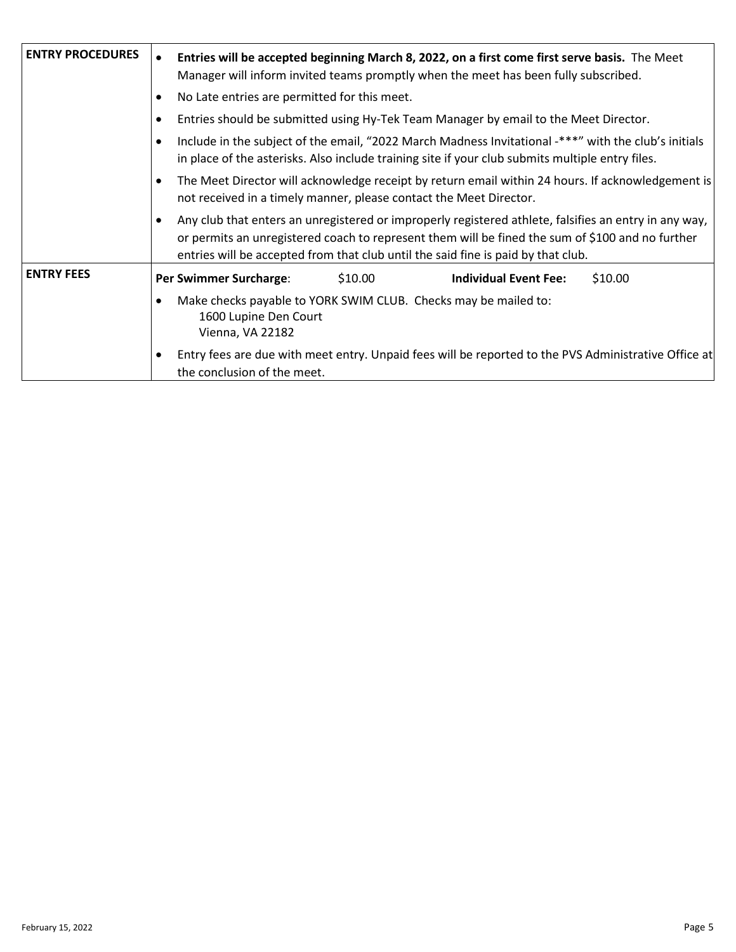| <b>ENTRY PROCEDURES</b> | Entries will be accepted beginning March 8, 2022, on a first come first serve basis. The Meet<br>Manager will inform invited teams promptly when the meet has been fully subscribed.                                                                                                           |
|-------------------------|------------------------------------------------------------------------------------------------------------------------------------------------------------------------------------------------------------------------------------------------------------------------------------------------|
|                         | No Late entries are permitted for this meet.<br>٠                                                                                                                                                                                                                                              |
|                         | Entries should be submitted using Hy-Tek Team Manager by email to the Meet Director.                                                                                                                                                                                                           |
|                         | Include in the subject of the email, "2022 March Madness Invitational -***" with the club's initials<br>in place of the asterisks. Also include training site if your club submits multiple entry files.                                                                                       |
|                         | The Meet Director will acknowledge receipt by return email within 24 hours. If acknowledgement is<br>not received in a timely manner, please contact the Meet Director.                                                                                                                        |
|                         | Any club that enters an unregistered or improperly registered athlete, falsifies an entry in any way,<br>or permits an unregistered coach to represent them will be fined the sum of \$100 and no further<br>entries will be accepted from that club until the said fine is paid by that club. |
| <b>ENTRY FEES</b>       | Per Swimmer Surcharge:<br><b>Individual Event Fee:</b><br>\$10.00<br>\$10.00                                                                                                                                                                                                                   |
|                         | Make checks payable to YORK SWIM CLUB. Checks may be mailed to:<br>1600 Lupine Den Court<br>Vienna, VA 22182                                                                                                                                                                                   |
|                         | Entry fees are due with meet entry. Unpaid fees will be reported to the PVS Administrative Office at<br>the conclusion of the meet.                                                                                                                                                            |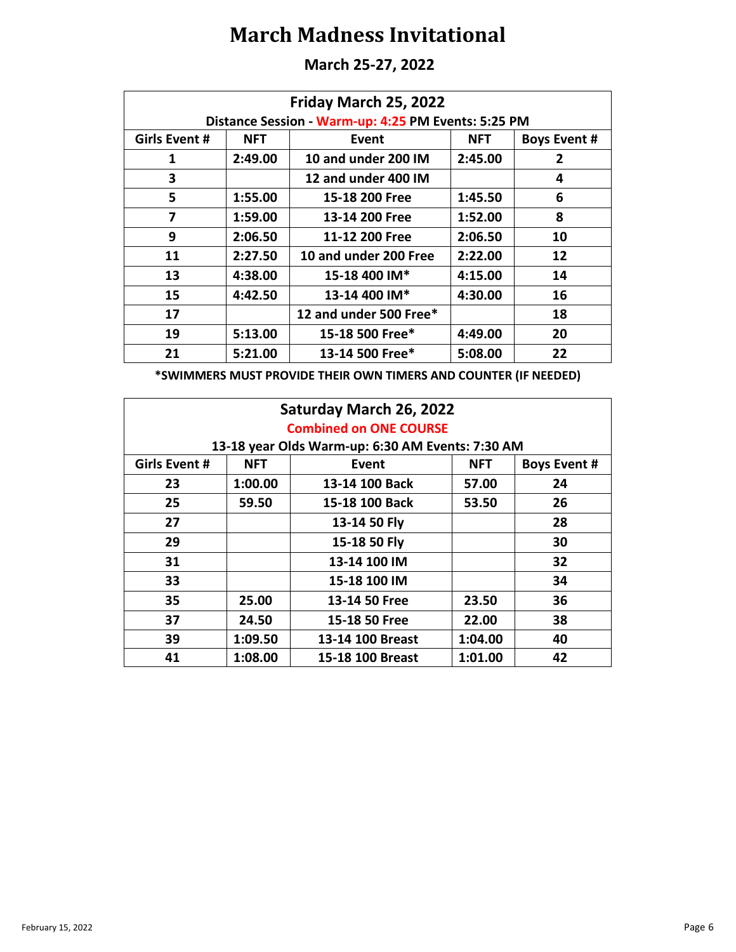**March 25-27, 2022**

| Friday March 25, 2022 |                                                     |                        |            |                     |  |
|-----------------------|-----------------------------------------------------|------------------------|------------|---------------------|--|
|                       | Distance Session - Warm-up: 4:25 PM Events: 5:25 PM |                        |            |                     |  |
| Girls Event #         | <b>NFT</b>                                          | Event                  | <b>NFT</b> | <b>Boys Event #</b> |  |
| 1                     | 2:49.00                                             | 10 and under 200 IM    | 2:45.00    | $\mathbf{2}$        |  |
| 3                     |                                                     | 12 and under 400 IM    |            | 4                   |  |
| 5                     | 1:55.00                                             | 15-18 200 Free         | 1:45.50    | 6                   |  |
| 7                     | 1:59.00                                             | 13-14 200 Free         | 1:52.00    | 8                   |  |
| 9                     | 2:06.50                                             | 11-12 200 Free         | 2:06.50    | 10                  |  |
| 11                    | 2:27.50                                             | 10 and under 200 Free  | 2:22.00    | 12                  |  |
| 13                    | 4:38.00                                             | 15-18 400 IM*          | 4:15.00    | 14                  |  |
| 15                    | 4:42.50                                             | 13-14 400 IM*          | 4:30.00    | 16                  |  |
| 17                    |                                                     | 12 and under 500 Free* |            | 18                  |  |
| 19                    | 5:13.00                                             | 15-18 500 Free*        | 4:49.00    | 20                  |  |
| 21                    | 5:21.00                                             | 13-14 500 Free*        | 5:08.00    | 22                  |  |

**\*SWIMMERS MUST PROVIDE THEIR OWN TIMERS AND COUNTER (IF NEEDED)**

| Saturday March 26, 2022 |                               |                                                  |            |                     |  |  |
|-------------------------|-------------------------------|--------------------------------------------------|------------|---------------------|--|--|
|                         | <b>Combined on ONE COURSE</b> |                                                  |            |                     |  |  |
|                         |                               | 13-18 year Olds Warm-up: 6:30 AM Events: 7:30 AM |            |                     |  |  |
| Girls Event #           | <b>NFT</b>                    | Event                                            | <b>NFT</b> | <b>Boys Event #</b> |  |  |
| 23                      | 1:00.00                       | 13-14 100 Back                                   | 57.00      | 24                  |  |  |
| 25                      | 59.50                         | 15-18 100 Back                                   | 53.50      | 26                  |  |  |
| 27                      |                               | 13-14 50 Fly                                     |            | 28                  |  |  |
| 29                      |                               | 15-18 50 Fly                                     |            | 30                  |  |  |
| 31                      |                               | 13-14 100 IM                                     |            | 32                  |  |  |
| 33                      |                               | 15-18 100 IM                                     |            | 34                  |  |  |
| 35                      | 25.00                         | 13-14 50 Free                                    | 23.50      | 36                  |  |  |
| 37                      | 24.50                         | 15-18 50 Free                                    | 22.00      | 38                  |  |  |
| 39                      | 1:09.50                       | 13-14 100 Breast                                 | 1:04.00    | 40                  |  |  |
| 41                      | 1:08.00                       | 15-18 100 Breast                                 | 1:01.00    | 42                  |  |  |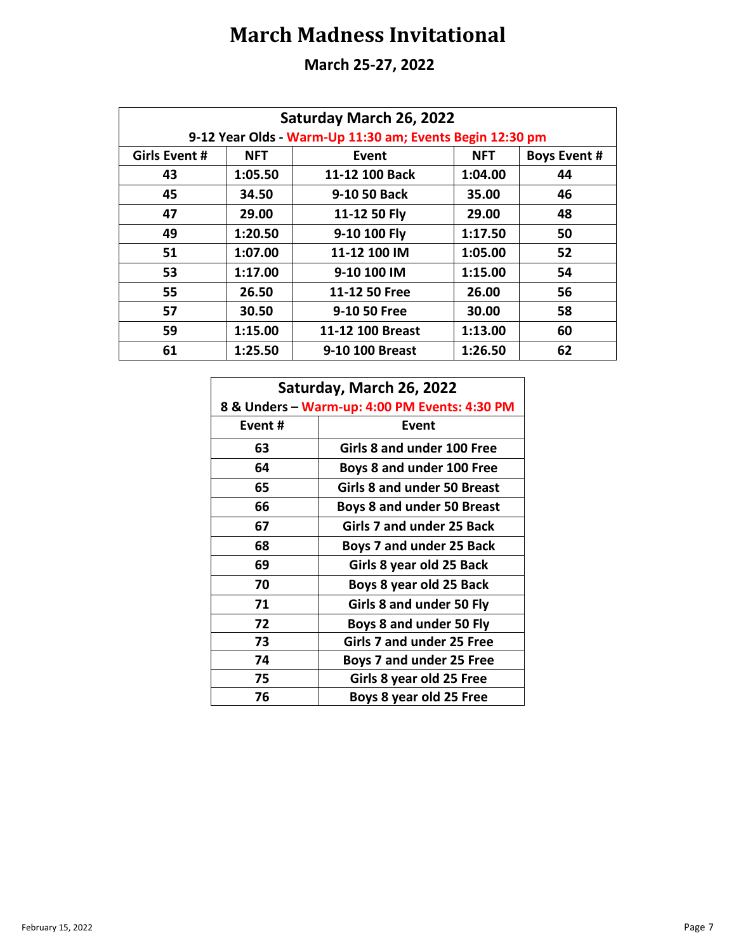#### **March 25-27, 2022**

| Saturday March 26, 2022 |            |                                                          |            |                     |
|-------------------------|------------|----------------------------------------------------------|------------|---------------------|
|                         |            | 9-12 Year Olds - Warm-Up 11:30 am; Events Begin 12:30 pm |            |                     |
| <b>Girls Event #</b>    | <b>NFT</b> | Event                                                    | <b>NFT</b> | <b>Boys Event #</b> |
| 43                      | 1:05.50    | 11-12 100 Back                                           | 1:04.00    | 44                  |
| 45                      | 34.50      | 9-10 50 Back                                             | 35.00      | 46                  |
| 47                      | 29.00      | 11-12 50 Fly                                             | 29.00      | 48                  |
| 49                      | 1:20.50    | 9-10 100 Fly                                             | 1:17.50    | 50                  |
| 51                      | 1:07.00    | 11-12 100 IM                                             | 1:05.00    | 52                  |
| 53                      | 1:17.00    | 9-10 100 IM                                              | 1:15.00    | 54                  |
| 55                      | 26.50      | 11-12 50 Free                                            | 26.00      | 56                  |
| 57                      | 30.50      | 9-10 50 Free                                             | 30.00      | 58                  |
| 59                      | 1:15.00    | 11-12 100 Breast                                         | 1:13.00    | 60                  |
| 61                      | 1:25.50    | 9-10 100 Breast                                          | 1:26.50    | 62                  |

| Saturday, March 26, 2022                      |                                    |  |
|-----------------------------------------------|------------------------------------|--|
| 8 & Unders - Warm-up: 4:00 PM Events: 4:30 PM |                                    |  |
| Event#                                        | Event                              |  |
| 63                                            | Girls 8 and under 100 Free         |  |
| 64                                            | Boys 8 and under 100 Free          |  |
| 65                                            | <b>Girls 8 and under 50 Breast</b> |  |
| 66                                            | <b>Boys 8 and under 50 Breast</b>  |  |
| 67                                            | Girls 7 and under 25 Back          |  |
| 68                                            | Boys 7 and under 25 Back           |  |
| 69                                            | Girls 8 year old 25 Back           |  |
| 70                                            | Boys 8 year old 25 Back            |  |
| 71                                            | Girls 8 and under 50 Fly           |  |
| 72                                            | Boys 8 and under 50 Fly            |  |
| 73                                            | Girls 7 and under 25 Free          |  |
| 74                                            | <b>Boys 7 and under 25 Free</b>    |  |
| 75                                            | Girls 8 year old 25 Free           |  |
| 76                                            | Boys 8 year old 25 Free            |  |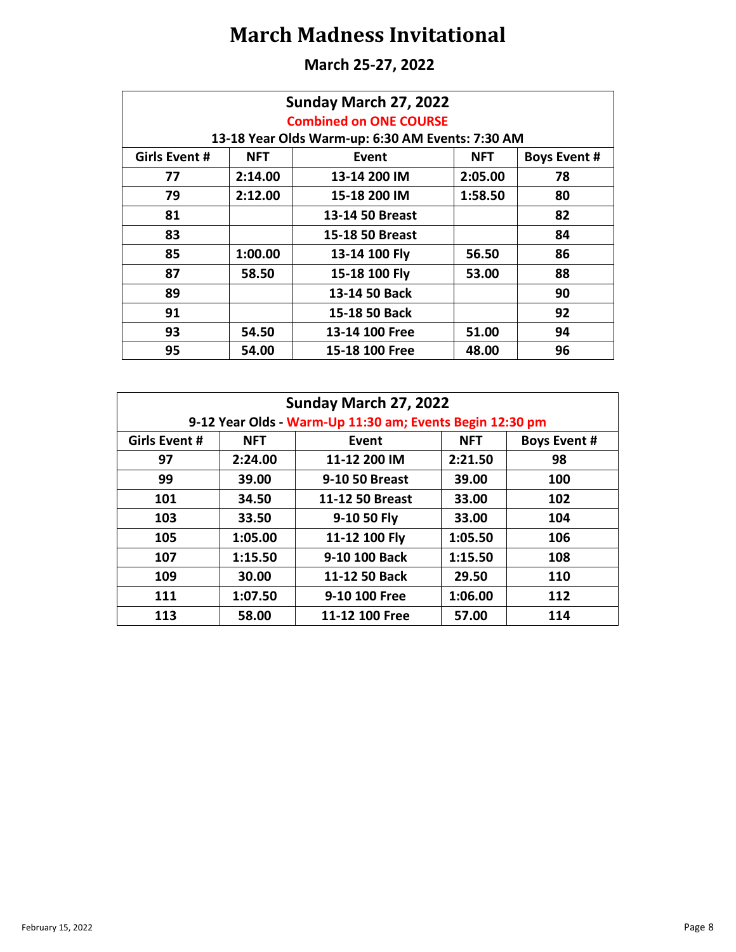**March 25-27, 2022**

| Sunday March 27, 2022<br><b>Combined on ONE COURSE</b> |            |                                                  |            |                     |
|--------------------------------------------------------|------------|--------------------------------------------------|------------|---------------------|
|                                                        |            | 13-18 Year Olds Warm-up: 6:30 AM Events: 7:30 AM |            |                     |
| Girls Event #                                          | <b>NFT</b> | Event                                            | <b>NFT</b> | <b>Boys Event #</b> |
| 77                                                     | 2:14.00    | 13-14 200 IM                                     | 2:05.00    | 78                  |
| 79                                                     | 2:12.00    | 15-18 200 IM                                     | 1:58.50    | 80                  |
| 81                                                     |            | 13-14 50 Breast                                  |            | 82                  |
| 83                                                     |            | 15-18 50 Breast                                  |            | 84                  |
| 85                                                     | 1:00.00    | 13-14 100 Fly                                    | 56.50      | 86                  |
| 87                                                     | 58.50      | 15-18 100 Fly                                    | 53.00      | 88                  |
| 89                                                     |            | 13-14 50 Back                                    |            | 90                  |
| 91                                                     |            | 15-18 50 Back                                    |            | 92                  |
| 93                                                     | 54.50      | 13-14 100 Free                                   | 51.00      | 94                  |
| 95                                                     | 54.00      | 15-18 100 Free                                   | 48.00      | 96                  |

| Sunday March 27, 2022 |            |                                                          |            |                     |
|-----------------------|------------|----------------------------------------------------------|------------|---------------------|
|                       |            | 9-12 Year Olds - Warm-Up 11:30 am; Events Begin 12:30 pm |            |                     |
| Girls Event #         | <b>NFT</b> | Event                                                    | <b>NFT</b> | <b>Boys Event #</b> |
| 97                    | 2:24.00    | 11-12 200 IM                                             | 2:21.50    | 98                  |
| 99                    | 39.00      | 9-10 50 Breast                                           | 39.00      | 100                 |
| 101                   | 34.50      | 11-12 50 Breast                                          | 33.00      | 102                 |
| 103                   | 33.50      | 9-10 50 Fly                                              | 33.00      | 104                 |
| 105                   | 1:05.00    | 11-12 100 Fly                                            | 1:05.50    | 106                 |
| 107                   | 1:15.50    | 9-10 100 Back                                            | 1:15.50    | 108                 |
| 109                   | 30.00      | 11-12 50 Back                                            | 29.50      | 110                 |
| 111                   | 1:07.50    | 9-10 100 Free                                            | 1:06.00    | 112                 |
| 113                   | 58.00      | 11-12 100 Free                                           | 57.00      | 114                 |